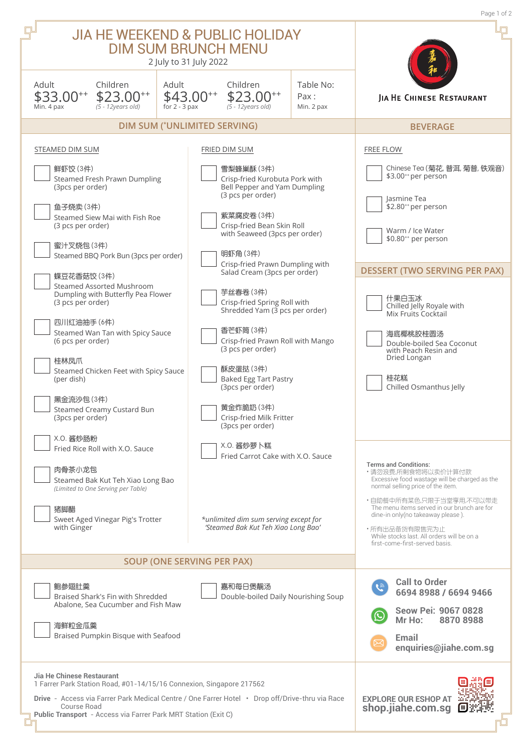|                                                                                                                                                                                                                                                                                                                                                                                                                                                                                      |                                                           |                                                                                                                                                                                                                                                                                                                                                                                                                                                                                                 |                                 | Page 1 of 2                                                                                                                                                                                                                                                                                                                                                               |
|--------------------------------------------------------------------------------------------------------------------------------------------------------------------------------------------------------------------------------------------------------------------------------------------------------------------------------------------------------------------------------------------------------------------------------------------------------------------------------------|-----------------------------------------------------------|-------------------------------------------------------------------------------------------------------------------------------------------------------------------------------------------------------------------------------------------------------------------------------------------------------------------------------------------------------------------------------------------------------------------------------------------------------------------------------------------------|---------------------------------|---------------------------------------------------------------------------------------------------------------------------------------------------------------------------------------------------------------------------------------------------------------------------------------------------------------------------------------------------------------------------|
| <b>JIA HE WEEKEND &amp; PUBLIC HOLIDAY</b><br><b>DIM SUM BRUNCH MENU</b><br>2 July to 31 July 2022                                                                                                                                                                                                                                                                                                                                                                                   |                                                           |                                                                                                                                                                                                                                                                                                                                                                                                                                                                                                 |                                 |                                                                                                                                                                                                                                                                                                                                                                           |
| Adult<br>Children<br>\$33.00**<br>$$23.00^{+4}$<br>Min. 4 pax<br>$(5 - 12$ years old)                                                                                                                                                                                                                                                                                                                                                                                                | Adult<br>\$43.00**<br>for $2 - 3$ pax                     | Children<br>$$23.00^{+*}$<br>$(5 - 12$ years old)                                                                                                                                                                                                                                                                                                                                                                                                                                               | Table No:<br>Pax:<br>Min. 2 pax | JIA HE CHINESE RESTAURANT                                                                                                                                                                                                                                                                                                                                                 |
| <b>DIM SUM (*UNLIMITED SERVING)</b>                                                                                                                                                                                                                                                                                                                                                                                                                                                  | <b>BEVERAGE</b>                                           |                                                                                                                                                                                                                                                                                                                                                                                                                                                                                                 |                                 |                                                                                                                                                                                                                                                                                                                                                                           |
| STEAMED DIM SUM                                                                                                                                                                                                                                                                                                                                                                                                                                                                      |                                                           | FRIED DIM SUM                                                                                                                                                                                                                                                                                                                                                                                                                                                                                   |                                 | <b>FREE FLOW</b>                                                                                                                                                                                                                                                                                                                                                          |
| 鲜虾饺 (3件)<br>Steamed Fresh Prawn Dumpling<br>(3pcs per order)<br>鱼子烧卖(3件)<br>Steamed Siew Mai with Fish Roe<br>(3 pcs per order)<br>蜜汁叉烧包(3件)<br>Steamed BBQ Pork Bun (3pcs per order)<br>蝶豆花香菇饺(3件)<br>Steamed Assorted Mushroom<br>Dumpling with Butterfly Pea Flower<br>(3 pcs per order)<br>四川红油抽手 (6件)<br>Steamed Wan Tan with Spicy Sauce<br>(6 pcs per order)<br>桂林凤爪<br>Steamed Chicken Feet with Spicy Sauce<br>(per dish)<br>黑金流沙包(3件)<br>$\Box$ Steamed Creamy Custard Bun |                                                           | 雪梨蜂巢酥(3件)<br>Crisp-fried Kurobuta Pork with<br>Bell Pepper and Yam Dumpling<br>(3 pcs per order)<br>紫菜腐皮卷(3件)<br>Crisp-fried Bean Skin Roll<br>with Seaweed (3pcs per order)<br>明虾角 (3件)<br>Crisp-fried Prawn Dumpling with<br>Salad Cream (3pcs per order)<br>芋丝春卷 (3件)<br>Crisp-fried Spring Roll with<br>Shredded Yam (3 pcs per order)<br>香芒虾筒 (3件)<br>Crisp-fried Prawn Roll with Mango<br>(3 pcs per order)<br>酥皮蛋挞(3件)<br><b>Baked Egg Tart Pastry</b><br>(3pcs per order)<br>黄金炸脆奶 (3件) |                                 | Chinese Tea (菊花, 普洱, 菊普, 铁观音)<br>\$3.00** per person<br>Jasmine Tea<br>\$2.80** per person<br>Warm / Ice Water<br>\$0.80 <sup>++</sup> per person<br><b>DESSERT (TWO SERVING PER PAX)</b><br>什果白玉冰<br>Chilled Jelly Royale with<br>Mix Fruits Cocktail<br>海底椰桃胶桂圆汤<br>Double-boiled Sea Coconut<br>with Peach Resin and<br>Dried Longan<br>桂花糕<br>Chilled Osmanthus Jelly |
| (3pcs per order)<br>X.O. 酱炒肠粉<br>Fried Rice Roll with X.O. Sauce<br>肉骨茶小龙包<br>Steamed Bak Kut Teh Xiao Long Bao<br>(Limited to One Serving per Table)<br>猪脚醋<br>Sweet Aged Vinegar Pig's Trotter<br>with Ginger                                                                                                                                                                                                                                                                      |                                                           | Crisp-fried Milk Fritter<br>(3pcs per order)<br>X.O. 酱炒萝卜糕<br>Fried Carrot Cake with X.O. Sauce<br>*unlimited dim sum serving except for<br>'Steamed Bak Kut Teh Xiao Long Bao'<br><b>SOUP (ONE SERVING PER PAX)</b>                                                                                                                                                                                                                                                                            |                                 | <b>Terms and Conditions:</b><br>・请勿浪费,所剩食物将以卖价计算付款<br>Excessive food wastage will be charged as the<br>normal selling price of the item.<br>・自助餐中所有菜色,只限于当堂享用,不可以带走<br>The menu items served in our brunch are for<br>dine-in only(no takeaway please).<br>・所有出品备货有限售完为止<br>While stocks last. All orders will be on a<br>first-come-first-served basis.                  |
|                                                                                                                                                                                                                                                                                                                                                                                                                                                                                      |                                                           |                                                                                                                                                                                                                                                                                                                                                                                                                                                                                                 |                                 |                                                                                                                                                                                                                                                                                                                                                                           |
| 鲍参翅肚羹<br>Braised Shark's Fin with Shredded<br>Abalone, Sea Cucumber and Fish Maw<br>海鲜粒金瓜羹<br>Braised Pumpkin Bisque with Seafood                                                                                                                                                                                                                                                                                                                                                    |                                                           | 嘉和每日煲靓汤<br>Double-boiled Daily Nourishing Soup                                                                                                                                                                                                                                                                                                                                                                                                                                                  |                                 | <b>Call to Order</b><br>$\widetilde{C}$<br>6694 8988 / 6694 9466<br>Seow Pei: 9067 0828<br>Mr Ho:<br>88708988<br>Email<br>enquiries@jiahe.com.sg                                                                                                                                                                                                                          |
| Jia He Chinese Restaurant<br>1 Farrer Park Station Road, #01-14/15/16 Connexion, Singapore 217562<br>Drive - Access via Farrer Park Medical Centre / One Farrer Hotel • Drop off/Drive-thru via Race<br><b>Course Road</b><br>Public Transport - Access via Farrer Park MRT Station (Exit C)                                                                                                                                                                                         | <b>EXPLORE OUR ESHOP AT</b><br>shop.jiahe.com.sg<br>【町】洪光 |                                                                                                                                                                                                                                                                                                                                                                                                                                                                                                 |                                 |                                                                                                                                                                                                                                                                                                                                                                           |